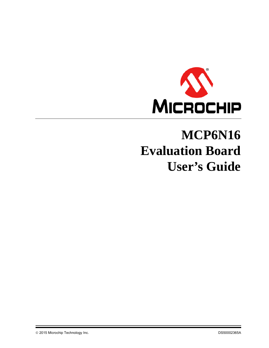

# **MCP6N16 Evaluation Board User's Guide**

© 2015 Microchip Technology Inc. 2015 Microchip Technology Inc.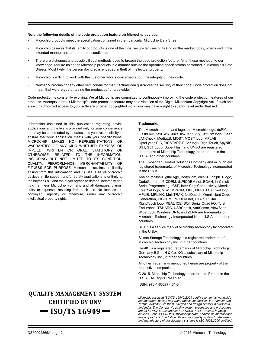#### **Note the following details of the code protection feature on Microchip devices:**

- Microchip products meet the specification contained in their particular Microchip Data Sheet.
- Microchip believes that its family of products is one of the most secure families of its kind on the market today, when used in the intended manner and under normal conditions.
- There are dishonest and possibly illegal methods used to breach the code protection feature. All of these methods, to our knowledge, require using the Microchip products in a manner outside the operating specifications contained in Microchip's Data Sheets. Most likely, the person doing so is engaged in theft of intellectual property.
- Microchip is willing to work with the customer who is concerned about the integrity of their code.
- Neither Microchip nor any other semiconductor manufacturer can guarantee the security of their code. Code protection does not mean that we are guaranteeing the product as "unbreakable."

Code protection is constantly evolving. We at Microchip are committed to continuously improving the code protection features of our products. Attempts to break Microchip's code protection feature may be a violation of the Digital Millennium Copyright Act. If such acts allow unauthorized access to your software or other copyrighted work, you may have a right to sue for relief under that Act.

Information contained in this publication regarding device applications and the like is provided only for your convenience and may be superseded by updates. It is your responsibility to ensure that your application meets with your specifications. MICROCHIP MAKES NO REPRESENTATIONS OR WARRANTIES OF ANY KIND WHETHER EXPRESS OR IMPLIED, WRITTEN OR ORAL, STATUTORY OR OTHERWISE, RELATED TO THE INFORMATION, INCLUDING BUT NOT LIMITED TO ITS CONDITION, QUALITY, PERFORMANCE, MERCHANTABILITY OR FITNESS FOR PURPOSE**.** Microchip disclaims all liability arising from this information and its use. Use of Microchip devices in life support and/or safety applications is entirely at the buyer's risk, and the buyer agrees to defend, indemnify and hold harmless Microchip from any and all damages, claims, suits, or expenses resulting from such use. No licenses are conveyed, implicitly or otherwise, under any Microchip intellectual property rights.

# **QUALITY MANAGEMENT SYSTEM CERTIFIED BY DNV**   $=$  **ISO/TS 16949**  $=$

#### **Trademarks**

The Microchip name and logo, the Microchip logo, dsPIC, FlashFlex, flexPWR, JukeBlox, KEELOQ, KEELOQ logo, Kleer, LANCheck, MediaLB, MOST, MOST logo, MPLAB, OptoLyzer, PIC, PICSTART, PIC32 logo, RightTouch, SpyNIC, SST, SST Logo, SuperFlash and UNI/O are registered trademarks of Microchip Technology Incorporated in the U.S.A. and other countries.

The Embedded Control Solutions Company and mTouch are registered trademarks of Microchip Technology Incorporated in the U.S.A.

Analog-for-the-Digital Age, BodyCom, chipKIT, chipKIT logo, CodeGuard, dsPICDEM, dsPICDEM.net, ECAN, In-Circuit Serial Programming, ICSP, Inter-Chip Connectivity, KleerNet, KleerNet logo, MiWi, MPASM, MPF, MPLAB Certified logo, MPLIB, MPLINK, MultiTRAK, NetDetach, Omniscient Code Generation, PICDEM, PICDEM.net, PICkit, PICtail, RightTouch logo, REAL ICE, SQI, Serial Quad I/O, Total Endurance, TSHARC, USBCheck, VariSense, ViewSpan, WiperLock, Wireless DNA, and ZENA are trademarks of Microchip Technology Incorporated in the U.S.A. and other countries.

SQTP is a service mark of Microchip Technology Incorporated in the U.S.A.

Silicon Storage Technology is a registered trademark of Microchip Technology Inc. in other countries.

GestIC is a registered trademarks of Microchip Technology Germany II GmbH & Co. KG, a subsidiary of Microchip Technology Inc., in other countries.

All other trademarks mentioned herein are property of their respective companies.

© 2015, Microchip Technology Incorporated, Printed in the U.S.A., All Rights Reserved.

ISBN: 978-1-63277-461-3

*Microchip received ISO/TS-16949:2009 certification for its worldwide headquarters, design and wafer fabrication facilities in Chandler and Tempe, Arizona; Gresham, Oregon and design centers in California and India. The Company's quality system processes and procedures are for its PIC® MCUs and dsPIC® DSCs, KEELOQ® code hopping devices, Serial EEPROMs, microperipherals, nonvolatile memory and analog products. In addition, Microchip's quality system for the design and manufacture of development systems is ISO 9001:2000 certified.*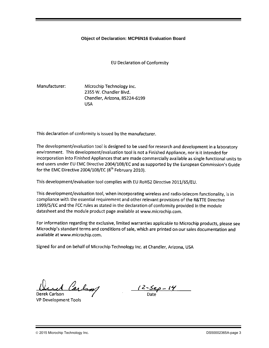#### **Object of Declaration: MCP6N16 Evaluation Board**

**EU Declaration of Conformity** 

Manufacturer: Microchip Technology Inc. 2355 W. Chandler Blvd. Chandler, Arizona, 85224-6199 **USA** 

This declaration of conformity is issued by the manufacturer.

The development/evaluation tool is designed to be used for research and development in a laboratory environment. This development/evaluation tool is not a Finished Appliance, nor is it intended for incorporation into Finished Appliances that are made commercially available as single functional units to end users under EU EMC Directive 2004/108/EC and as supported by the European Commission's Guide for the EMC Directive 2004/108/EC ( $8<sup>th</sup>$  February 2010).

This development/evaluation tool complies with EU RoHS2 Directive 2011/65/EU.

This development/evaluation tool, when incorporating wireless and radio-telecom functionality, is in compliance with the essential requirement and other relevant provisions of the R&TTE Directive 1999/5/EC and the FCC rules as stated in the declaration of conformity provided in the module datasheet and the module product page available at www.microchip.com.

For information regarding the exclusive, limited warranties applicable to Microchip products, please see Microchip's standard terms and conditions of sale, which are printed on our sales documentation and available at www.microchip.com.

Signed for and on behalf of Microchip Technology Inc. at Chandler, Arizona, USA

Carlos

Derek Carlson **VP Development Tools** 

 $\frac{12 - 5e\rho - 14}{\text{Date}}$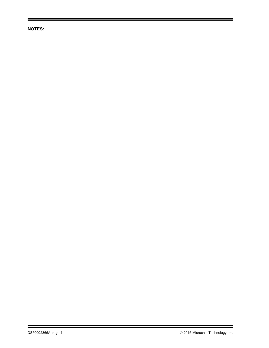**NOTES:**

٠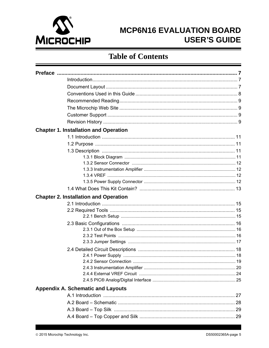

# **MCP6N16 EVALUATION BOARD USER'S GUIDE**

# **Table of Contents**

| <b>Chapter 1. Installation and Operation</b> |  |
|----------------------------------------------|--|
|                                              |  |
|                                              |  |
|                                              |  |
|                                              |  |
|                                              |  |
|                                              |  |
|                                              |  |
|                                              |  |
|                                              |  |
| <b>Chapter 2. Installation and Operation</b> |  |
|                                              |  |
|                                              |  |
|                                              |  |
|                                              |  |
|                                              |  |
|                                              |  |
|                                              |  |
|                                              |  |
|                                              |  |
|                                              |  |
|                                              |  |
|                                              |  |
| <b>Appendix A. Schematic and Layouts</b>     |  |
|                                              |  |
|                                              |  |
|                                              |  |
|                                              |  |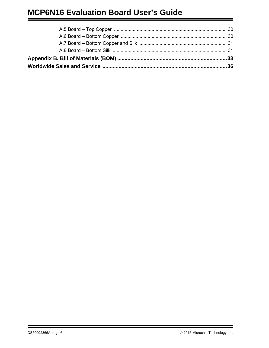# **MCP6N16 Evaluation Board User's Guide**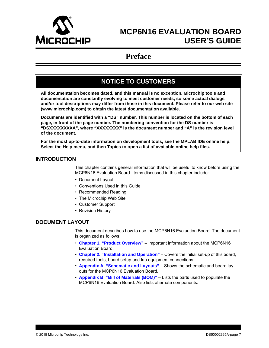<span id="page-6-0"></span>

# **MCP6N16 EVALUATION BOARD USER'S GUIDE**

<u>USER's Guide Constant of the Constant of the Constant of the Constant of the Constant of the Constant of the Constant of the Constant of the Constant of the Constant of the Constant of the Constant of the Constant of the </u>

# **Preface**

# **NOTICE TO CUSTOMERS**

**All documentation becomes dated, and this manual is no exception. Microchip tools and documentation are constantly evolving to meet customer needs, so some actual dialogs and/or tool descriptions may differ from those in this document. Please refer to our web site (www.microchip.com) to obtain the latest documentation available.**

**Documents are identified with a "DS" number. This number is located on the bottom of each page, in front of the page number. The numbering convention for the DS number is "DSXXXXXXXXA", where "XXXXXXXX" is the document number and "A" is the revision level of the document.**

**For the most up-to-date information on development tools, see the MPLAB IDE online help. Select the Help menu, and then Topics to open a list of available online help files.**

# <span id="page-6-1"></span>**INTRODUCTION**

This chapter contains general information that will be useful to know before using the MCP6N16 Evaluation Board. Items discussed in this chapter include:

- Document Layout
- Conventions Used in this Guide
- Recommended Reading
- The Microchip Web Site
- Customer Support
- Revision History

### <span id="page-6-2"></span>**DOCUMENT LAYOUT**

This document describes how to use the MCP6N16 Evaluation Board. The document is organized as follows:

- **[Chapter 1. "Product Overview"](#page-10-5)** Important information about the MCP6N16 Evaluation Board.
- **[Chapter 2. "Installation and Operation"](#page-14-4)** Covers the initial set-up of this board, required tools, board setup and lab equipment connections.
- **[Appendix A. "Schematic and Layouts"](#page-26-2)** Shows the schematic and board layouts for the MCP6N16 Evaluation Board.
- **[Appendix B. "Bill of Materials \(BOM\)"](#page-32-1)** Lists the parts used to populate the MCP6N16 Evaluation Board. Also lists alternate components.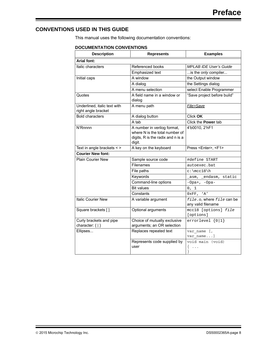# <span id="page-7-0"></span>**CONVENTIONS USED IN THIS GUIDE**

This manual uses the following documentation conventions:

### **DOCUMENTATION CONVENTIONS**

| <b>Description</b>                                  | <b>Represents</b>                                                                                            | <b>Examples</b>                                 |
|-----------------------------------------------------|--------------------------------------------------------------------------------------------------------------|-------------------------------------------------|
| <b>Arial font:</b>                                  |                                                                                                              |                                                 |
| Italic characters                                   | Referenced books                                                                                             | <b>MPLAB IDE User's Guide</b>                   |
|                                                     | Emphasized text                                                                                              | is the only compiler                            |
| Initial caps                                        | A window                                                                                                     | the Output window                               |
|                                                     | A dialog                                                                                                     | the Settings dialog                             |
|                                                     | A menu selection                                                                                             | select Enable Programmer                        |
| Quotes                                              | A field name in a window or<br>dialog                                                                        | "Save project before build"                     |
| Underlined, italic text with<br>right angle bracket | A menu path                                                                                                  | File>Save                                       |
| <b>Bold characters</b>                              | A dialog button                                                                                              | Click OK                                        |
|                                                     | A tab                                                                                                        | Click the Power tab                             |
| N'Rnnnn                                             | A number in verilog format,<br>where N is the total number of<br>digits, R is the radix and n is a<br>digit. | 4'b0010, 2'hF1                                  |
| Text in angle brackets $\lt$ >                      | A key on the keyboard                                                                                        | Press <enter>, <f1></f1></enter>                |
| <b>Courier New font:</b>                            |                                                                                                              |                                                 |
| Plain Courier New                                   | Sample source code                                                                                           | #define START                                   |
|                                                     | Filenames                                                                                                    | autoexec.bat                                    |
|                                                     | File paths                                                                                                   | $c:\mcc18\nh$                                   |
|                                                     | Keywords                                                                                                     | _asm, _endasm, static                           |
|                                                     | Command-line options                                                                                         | $-Opa+, -Opa-$                                  |
|                                                     | <b>Bit values</b>                                                                                            | 0, 1                                            |
|                                                     | Constants                                                                                                    | 0xFF, 'A'                                       |
| <b>Italic Courier New</b>                           | A variable argument                                                                                          | file.o, where file can be<br>any valid filename |
| Square brackets []                                  | Optional arguments                                                                                           | mcc18 [options] file<br>[options]               |
| Curly brackets and pipe<br>character: $\{  \}$      | Choice of mutually exclusive<br>arguments; an OR selection                                                   | errorlevel $\{0 1\}$                            |
| Ellipses                                            | Replaces repeated text                                                                                       | var name [,<br>$var_name$ ]                     |
|                                                     | Represents code supplied by<br>user                                                                          | void main (void)<br>$\left\{ \right.$<br>.<br>ł |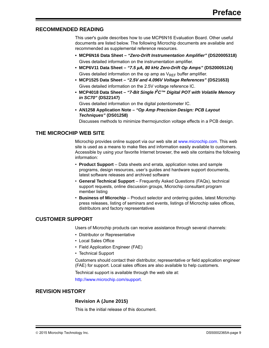# <span id="page-8-0"></span>**RECOMMENDED READING**

This user's guide describes how to use MCP6N16 Evaluation Board. Other useful documents are listed below. The following Microchip documents are available and recommended as supplemental reference resources.

- **MCP6N16 Data Sheet** *"Zero-Drift Instrumentation Amplifier"* **(DS20005318)** Gives detailed information on the instrumentation amplifier.
- **MCP6V11 Data Sheet** *"7.5 µA, 80 kHz Zero-Drift Op Amps"* **(DS20005124)** Gives detailed information on the op amp as  $V_{RFF}$  buffer amplifier.
- **MCP1525 Data Sheet** *"2.5V and 4.096V Voltage References"* **(DS21653)** Gives detailed information on the 2.5V voltage reference IC.
- **MCP4018 Data Sheet** *"7-Bit Single I2C™ Digital POT with Volatile Memory in SC70"* **(DS22147)**

Gives detailed information on the digital potentiometer IC.

**• AN1258 Application Note –** *"Op Amp Precision Design: PCB Layout Techniques"* **(DS01258)**

Discusses methods to minimize thermojunction voltage effects in a PCB design.

### <span id="page-8-1"></span>**THE MICROCHIP WEB SITE**

Microchip provides online support via our web site at [www.microchip.com](http://www.microchip.com). This web site is used as a means to make files and information easily available to customers. Accessible by using your favorite Internet browser, the web site contains the following information:

- **Product Support** Data sheets and errata, application notes and sample programs, design resources, user's guides and hardware support documents, latest software releases and archived software
- **General Technical Support** Frequently Asked Questions (FAQs), technical support requests, online discussion groups, Microchip consultant program member listing
- **Business of Microchip** Product selector and ordering guides, latest Microchip press releases, listing of seminars and events, listings of Microchip sales offices, distributors and factory representatives

### <span id="page-8-2"></span>**CUSTOMER SUPPORT**

Users of Microchip products can receive assistance through several channels:

- Distributor or Representative
- Local Sales Office
- Field Application Engineer (FAE)
- Technical Support

Customers should contact their distributor, representative or field application engineer (FAE) for support. Local sales offices are also available to help customers.

Technical support is available through the web site at:

<http://www.microchip.com/support>.

### <span id="page-8-3"></span>**REVISION HISTORY**

### **Revision A (June 2015)**

This is the initial release of this document.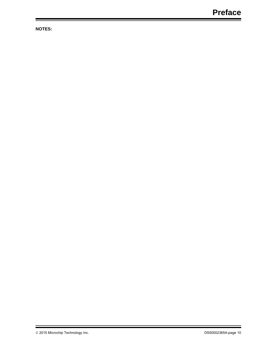**NOTES:**

Ξ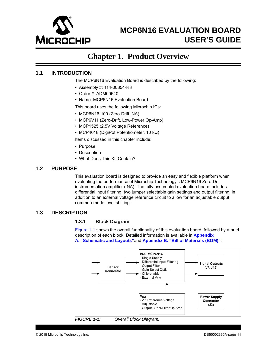

# <span id="page-10-5"></span>**MCP6N16 EVALUATION BOARD USER'S GUIDE**

# **Chapter 1. Product Overview**

# <span id="page-10-1"></span><span id="page-10-0"></span>**1.1 INTRODUCTION**

The MCP6N16 Evaluation Board is described by the following:

- Assembly #: 114-00354-R3
- Order #: ADM00640
- Name: MCP6N16 Evaluation Board

This board uses the following Microchip ICs:

- MCP6N16-100 (Zero-Drift INA)
- MCP6V11 (Zero-Drift, Low-Power Op-Amp)
- MCP1525 (2.5V Voltage Reference)
- MCP4018 (DigiPot Potentiometer, 10 kΩ)

Items discussed in this chapter include:

- • [Purpose](#page-10-2)
- • [Description](#page-10-3)
- • [What Does This Kit Contain?](#page-12-0)

### <span id="page-10-2"></span>**1.2 PURPOSE**

This evaluation board is designed to provide an easy and flexible platform when evaluating the performance of Microchip Technology's MCP6N16 Zero-Drift instrumentation amplifier (INA). The fully assembled evaluation board includes differential input filtering, two jumper selectable gain settings and output filtering, in addition to an external voltage reference circuit to allow for an adjustable output common-mode level shifting.

### <span id="page-10-3"></span>**1.3 DESCRIPTION**

#### <span id="page-10-4"></span>**1.3.1 Block Diagram**

[Figure 1-1](#page-10-6) shows the overall functionality of this evaluation board, followed by a brief description of each block. Detailed information is available in **[Appendix](#page-26-2)  [A. "Schematic and Layouts"](#page-26-2)**and **[Appendix B. "Bill of Materials \(BOM\)"](#page-32-1)**.

<span id="page-10-6"></span>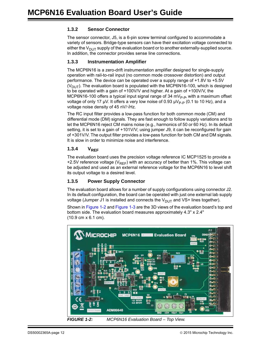### <span id="page-11-0"></span>**1.3.2 Sensor Connector**

The sensor connector, J5, is a 6-pin screw terminal configured to accommodate a variety of sensors. Bridge-type sensors can have their excitation voltage connected to either the  $V_{\text{DUT}}$  supply of the evaluation board or to another externally-supplied source. In addition, the connector provides sense line connections.

### <span id="page-11-1"></span>**1.3.3 Instrumentation Amplifier**

The MCP6N16 is a zero-drift instrumentation amplifier designed for single-supply operation with rail-to-rail input (no common mode crossover distortion) and output performance. The device can be operated over a supply range of +1.8V to +5.5V  $(V_{\text{DUT}})$ . The evaluation board is populated with the MCP6N16-100, which is designed to be operated with a gain of +100V/V and higher. At a gain of +100V/V, the MCP6N16-100 offers a typical input signal range of 34 mV<sub>P-P</sub>, with a maximum offset voltage of only 17  $\mu$ V. It offers a very low noise of 0.93  $\mu V_{P-P}$  (0.1 to 10 Hz), and a voltage noise density of 45 nV/√Hz.

The RC input filter provides a low-pass function for both common mode (CM) and differential mode (DM) signals. They are fast enough to follow supply variations and to let the MCP6N16 reject CM mains noise (e.g., harmonics of 50 or 60 Hz). In its default setting, it is set to a gain of +101V/V; using jumper J9, it can be reconfigured for gain of +301V/V. The output filter provides a low-pass function for both CM and DM signals. It is slow in order to minimize noise and interference.

# <span id="page-11-2"></span>**1.3.4 VREF**

The evaluation board uses the precision voltage reference IC MCP1525 to provide a +2.5V reference voltage ( $V_{REF}$ ) with an accuracy of better than 1%. This voltage can be adjusted and used as an external reference voltage for the MCP6N16 to level shift its output voltage to a desired level.

# <span id="page-11-3"></span>**1.3.5 Power Supply Connector**

The evaluation board allows for a number of supply configurations using connector J2. In its default configuration, the board can be operated with just one external lab supply voltage (Jumper J1 is installed and connects the  $V_{\text{DUT}}$  and VS+ lines together).

Shown in [Figure 1-2](#page-11-4) and [Figure 1-3](#page-12-1) are the 3D views of the evaluation board's top and bottom side. The evaluation board measures approximately 4.3'' x 2.4'' (10.9 cm x 6.1 cm).

<span id="page-11-4"></span>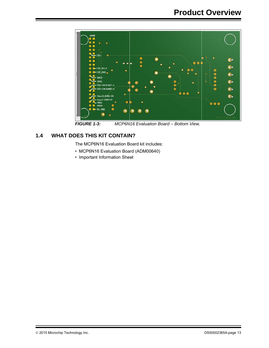

<span id="page-12-0"></span>**1.4 WHAT DOES THIS KIT CONTAIN?**

<span id="page-12-1"></span>The MCP6N16 Evaluation Board kit includes:

- MCP6N16 Evaluation Board (ADM00640)
- Important Information Sheet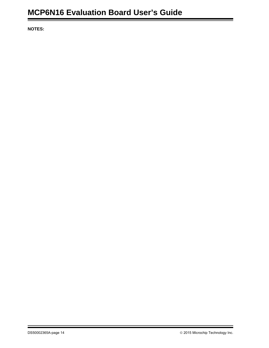**NOTES:**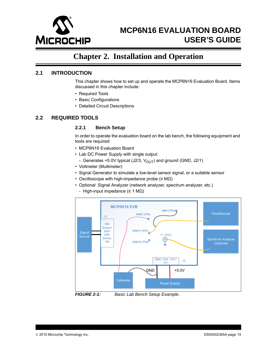

# <span id="page-14-4"></span>**Chapter 2. Installation and Operation**

# <span id="page-14-1"></span><span id="page-14-0"></span>**2.1 INTRODUCTION**

This chapter shows how to set up and operate the MCP6N16 Evaluation Board. Items discussed in this chapter include:

- • [Required Tools](#page-14-2)
- • [Basic Configurations](#page-15-0)
- • [Detailed Circuit Descriptions](#page-17-0)

# <span id="page-14-2"></span>**2.2 REQUIRED TOOLS**

### <span id="page-14-3"></span>**2.2.1 Bench Setup**

In order to operate the evaluation board on the lab bench, the following equipment and tools are required:

- MCP6N16 Evaluation Board
- Lab DC Power Supply with single output
	- Generates +5.0V typical (J2/3,  $V_{\text{DUT}}$ ) and ground (GND, J2/1)
- Voltmeter (Multimeter)
- Signal Generator to simulate a low-level sensor signal, or a suitable sensor
- Oscilloscope with high-impedance probe ( $\geq M\Omega$ )
- Optional: Signal Analyzer (network analyzer, spectrum analyzer, etc.)
	- High-input impedance ( $\geq 1$  MΩ)



<span id="page-14-5"></span>*FIGURE 2-1: Basic Lab Bench Setup Example.*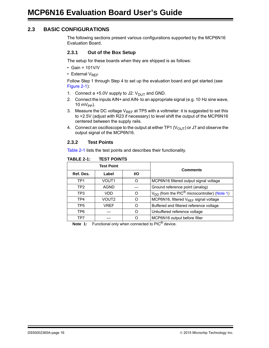# <span id="page-15-0"></span>**2.3 BASIC CONFIGURATIONS**

The following sections present various configurations supported by the MCP6N16 Evaluation Board.

### <span id="page-15-1"></span>**2.3.1 Out of the Box Setup**

The setup for these boards when they are shipped is as follows:

- $\cdot$  Gain = 101V/V
- External  $V_{RFF}$

Follow Step 1 through Step 4 to set up the evaluation board and get started (see [Figure 2-1\)](#page-14-5):

- 1. Connect a +5.0V supply to J2:  $V_{\text{DUT}}$  and GND.
- 2. Connect the inputs AIN+ and AIN- to an appropriate signal (e.g. 10 Hz sine wave, 10  $mV_{PP}$ ).
- 3. Measure the DC voltage  $V_{REF}$  at TP5 with a voltmeter: it is suggested to set this to +2.5V (adjust with R23 if necessary) to level shift the output of the MCP6N16 centered between the supply rails.
- 4. Connect an oscilloscope to the output at either TP1 ( $V_{\text{OUT}}$ ) or J7 and observe the output signal of the MCP6N16.

#### <span id="page-15-2"></span>**2.3.2 Test Points**

[Table 2-1](#page-15-3) lists the test points and describes their functionality.

| <b>Test Point</b> |                   |     |                                                               |  |
|-------------------|-------------------|-----|---------------------------------------------------------------|--|
| Ref. Des.         | Label             | VO. | <b>Comments</b>                                               |  |
| TP <sub>1</sub>   | VOUT1             | Ω   | MCP6N16 filtered output signal voltage                        |  |
| TP <sub>2</sub>   | <b>AGND</b>       |     | Ground reference point (analog)                               |  |
| TP <sub>3</sub>   | VDD               | Ω   | $V_{DD}$ (from the PIC <sup>®</sup> microcontroller) (Note 1) |  |
| TP4               | VOUT <sub>2</sub> | Ω   | MCP6N16, filtered $V_{RFF}$ signal voltage                    |  |
| TP <sub>5</sub>   | VREF              | ∩   | Buffered and filtered reference voltage                       |  |
| TP6               |                   | ∩   | Unbuffered reference voltage                                  |  |
| TP7               |                   |     | MCP6N16 output before filter                                  |  |

<span id="page-15-3"></span>**TABLE 2-1: TEST POINTS**

<span id="page-15-4"></span>**Note 1:** Functional only when connected to PIC<sup>®</sup> device.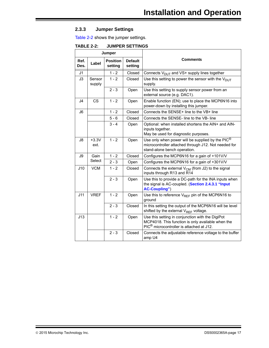# <span id="page-16-0"></span>**2.3.3 Jumper Settings**

[Table 2-2](#page-16-1) shows the jumper settings.

<span id="page-16-1"></span>

| <b>TABLE 2-2:</b> | <b>JUMPER SETTINGS</b> |
|-------------------|------------------------|
|-------------------|------------------------|

| Jumper         |                  |                            |                           |                                                                                                                                                               |  |  |
|----------------|------------------|----------------------------|---------------------------|---------------------------------------------------------------------------------------------------------------------------------------------------------------|--|--|
| Ref.<br>Des.   | Label            | <b>Position</b><br>setting | <b>Default</b><br>setting | <b>Comments</b>                                                                                                                                               |  |  |
| J <sub>1</sub> |                  | $1 - 2$                    | Closed                    | Connects V <sub>DUT</sub> and VS+ supply lines together                                                                                                       |  |  |
| J3             | Sensor<br>supply | $1 - 2$                    | Closed                    | Use this setting to power the sensor with the $V_{\text{DUT}}$<br>supply.                                                                                     |  |  |
|                |                  | $2 - 3$                    | Open                      | Use this setting to supply sensor power from an<br>external source (e.g. DAC1).                                                                               |  |  |
| J <sub>4</sub> | <b>CS</b>        | $1 - 2$                    | Open                      | Enable function (EN); use to place the MCP6N16 into<br>power-down by installing this jumper.                                                                  |  |  |
| J <sub>6</sub> |                  | $1 - 2$                    | Closed                    | Connects the SENSE+ line to the VB+ line                                                                                                                      |  |  |
|                |                  | $5 - 6$                    | Closed                    | Connects the SENSE-line to the VB-line                                                                                                                        |  |  |
|                |                  | $3 - 4$                    | Open                      | Optional: when installed shortens the AIN+ and AIN-<br>inputs together.<br>May be used for diagnostic purposes.                                               |  |  |
| J8             | $+3.3V$<br>ext.  | $1 - 2$                    | Open                      | Use only when power will be supplied by the $PIC^{\circledR}$<br>microcontroller attached through J12. Not needed for<br>stand-alone bench operation.         |  |  |
| J9             | Gain             | $1 - 2$                    | Closed                    | Configures the MCP6N16 for a gain of +101V/V                                                                                                                  |  |  |
|                | Select           | $2 - 3$                    | Open                      | Configures the MCP6N16 for a gain of +301V/V                                                                                                                  |  |  |
| J10            | <b>VCM</b>       | $1 - 2$                    | Closed                    | Connects the external $V_{CM}$ (from J2) to the signal<br>inputs through R13 and R14                                                                          |  |  |
|                |                  | $2 - 3$                    | Open                      | Use this to provide a DC-path for the INA inputs when<br>the signal is AC-coupled. (Section 2.4.3.1 "Input<br><b>AC-Coupling")</b>                            |  |  |
| J11            | <b>VREF</b>      | $\overline{1}$ - 2         | Open                      | Use this to reference $V_{RFF}$ pin of the MCP6N16 to<br>ground                                                                                               |  |  |
|                |                  | $2 - 3$                    | Closed                    | In this setting the output of the MCP6N16 will be level<br>shifted by the external V <sub>REF</sub> voltage.                                                  |  |  |
| J13            |                  | $1 - 2$                    | Open                      | Use this setting in conjunction with the DigiPot<br>MCP4018. This function is only available when the<br>PIC <sup>®</sup> microcontroller is attached at J12. |  |  |
|                |                  | $2 - 3$                    | Closed                    | Connects the adjustable reference voltage to the buffer<br>amp U4                                                                                             |  |  |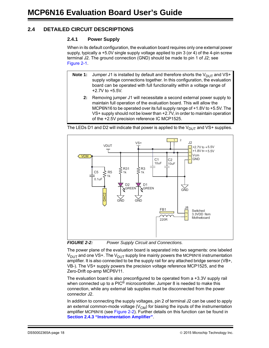# <span id="page-17-0"></span>**2.4 DETAILED CIRCUIT DESCRIPTIONS**

#### <span id="page-17-1"></span>**2.4.1 Power Supply**

When in its default configuration, the evaluation board requires only one external power supply, typically a +5.0V single supply voltage applied to pin 3 (or 4) of the 4-pin screw terminal J2. The ground connection (GND) should be made to pin 1 of J2; see [Figure 2-1.](#page-14-5)

- **Note 1:** Jumper J1 is installed by default and therefore shorts the  $V_{\text{DUT}}$  and VS+ supply voltage connections together. In this configuration, the evaluation board can be operated with full functionality within a voltage range of +2.7V to +5.5V.
	- **2:** Removing jumper J1 will necessitate a second external power supply to maintain full operation of the evaluation board. This will allow the MCP6N16 to be operated over its full supply range of +1.8V to +5.5V. The VS+ supply should not be lower than +2.7V, in order to maintain operation of the +2.5V precision reference IC MCP1525.

The LEDs D1 and D2 will indicate that power is applied to the  $V_{\text{DUT}}$  and VS+ supplies.



<span id="page-17-2"></span>*FIGURE 2-2: Power Supply Circuit and Connections.*

The power plane of the evaluation board is separated into two segments: one labeled  $\rm V_{DUT}$  and one VS+. The  $\rm V_{DUT}$  supply line mainly powers the MCP6N16 instrumentation amplifier. It is also connected to be the supply rail for any attached bridge sensor (VB+, VB-). The VS+ supply powers the precision voltage reference MCP1525, and the Zero-Drift op-amp MCP6V11.

The evaluation board is also preconfigured to be operated from a +3.3V supply rail when connected up to a  $\text{PIC}^{\textcircled{\tiny 0}}$  microcontroller. Jumper 8 is needed to make this connection, while any external lab supplies must be disconnected from the power connector J2.

In addition to connecting the supply voltages, pin 2 of terminal J2 can be used to apply an external common-mode voltage ( $V_{CM}$ ) for biasing the inputs of the instrumentation amplifier MCP6N16 (see [Figure 2-2\)](#page-17-2). Further details on this function can be found in **[Section 2.4.3 "Instrumentation Amplifier"](#page-19-0)**.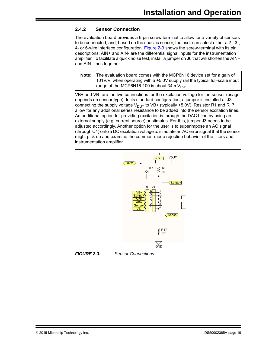## <span id="page-18-0"></span>**2.4.2 Sensor Connection**

The evaluation board provides a 6-pin screw terminal to allow for a variety of sensors to be connected, and, based on the specific sensor, the user can select either a 2-, 3-, 4- or 6-wire interface configuration. [Figure 2-3](#page-18-1) shows the screw-terminal with its pin descriptions: AIN+ and AIN- are the differential signal inputs for the instrumentation amplifier. To facilitate a quick noise test, install a jumper on J6 that will shorten the AIN+ and AIN- lines together.

**Note:** The evaluation board comes with the MCP6N16 device set for a gain of 101V/V; when operating with a +5.0V supply rail the typical full-scale input range of the MCP6N16-100 is about 34 mV<sub>P-P</sub>.

VB+ and VB- are the two connections for the excitation voltage for the sensor (usage depends on sensor type). In its standard configuration, a jumper is installed at J3, connecting the supply voltage  $V_{\text{DUT}}$  to VB+ (typically +5.0V). Resistor R1 and R17 allow for any additional series resistance to be added into the sensor excitation lines. An additional option for providing excitation is through the DAC1 line by using an external supply (e.g. current source) or stimulus. For this, jumper J3 needs to be adjusted accordingly. Another option for the user is to superimpose an AC signal (through C4) onto a DC excitation voltage to simulate an AC error signal that the sensor might pick up and examine the common-mode rejection behavior of the filters and instrumentation amplifier.



<span id="page-18-1"></span>*FIGURE 2-3: Sensor Connections.*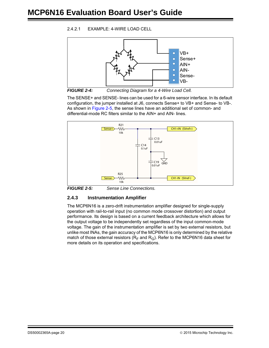### 2.4.2.1 EXAMPLE: 4-WIRE LOAD CELL



<span id="page-19-2"></span>*FIGURE 2-4: Connecting Diagram for a 4-Wire Load Cell.*

The SENSE+ and SENSE- lines can be used for a 6-wire sensor interface. In its default configuration, the jumper installed at J6, connects Sense+ to VB+ and Sense- to VB-. As shown in [Figure 2-5](#page-19-1), the sense lines have an additional set of common- and differential-mode RC filters similar to the AIN+ and AIN- lines.



<span id="page-19-1"></span>*FIGURE 2-5: Sense Line Connections.*

# <span id="page-19-0"></span>**2.4.3 Instrumentation Amplifier**

The MCP6N16 is a zero-drift instrumentation amplifier designed for single-supply operation with rail-to-rail input (no common mode crossover distortion) and output performance. Its design is based on a current feedback architecture which allows for the output voltage to be independently set regardless of the input common-mode voltage. The gain of the instrumentation amplifier is set by two external resistors, but unlike most INAs, the gain accuracy of the MCP6N16 is only determined by the relative match of those external resistors ( $R<sub>F</sub>$  and  $R<sub>G</sub>$ ). Refer to the MCP6N16 data sheet for more details on its operation and specifications.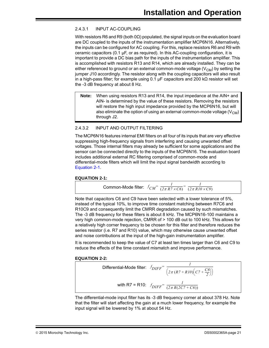#### <span id="page-20-0"></span>2.4.3.1 INPUT AC-COUPLING

With resistors R6 and R9 (both  $0Ω$ ) populated, the signal inputs on the evaluation board are DC coupled to the inputs of the instrumentation amplifier MCP6N16. Alternatively, the inputs can be configured for AC coupling. For this, replace resistors R6 and R9 with ceramic capacitors (0.1  $\mu$ F, or as required). In this AC-coupling configuration, it is important to provide a DC bias path for the inputs of the instrumentation amplifier. This is accomplished with resistors R13 and R14, which are already installed. They can be either referenced to ground or an external common-mode voltage  $(V_{CM})$  by setting the jumper J10 accordingly. The resistor along with the coupling capacitors will also result in a high-pass filter; for example using 0.1 µF capacitors and 200 kΩ resistor will set the -3 dB frequency at about 8 Hz.

**Note:** When using resistors R13 and R14, the input impedance at the AIN+ and AIN- is determined by the value of these resistors. Removing the resistors will restore the high input impedance provided by the MCP6N16, but will also eliminate the option of using an external common-mode voltage  $(V_{CM})$ through J2.

#### 2.4.3.2 INPUT AND OUTPUT FILTERING

The MCP6N16 features internal EMI filters on all four of its inputs that are very effective suppressing high-frequency signals from interfering and causing unwanted offset voltages. Those internal filters may already be sufficient for some applications and the sensor can be connected directly to the inputs of the MCP6N16. The evaluation board includes additional external RC filtering comprised of common-mode and differential-mode filters which will limit the input signal bandwidth according to [Equation 2-1.](#page-20-1)

#### <span id="page-20-1"></span>**EQUATION 2-1:**

*f CM*  $2^{2}$  Common-Mode filter:  $f_{CM} = \frac{1}{(2 \pi R^{7} \times C6)} = \frac{1}{(2 \pi R10 \times C9)}$ 

Note that capacitors C6 and C9 have been selected with a lower tolerance of 5%, instead of the typical 10%, to improve time constant matching between R7C6 and R10C9 and consequently limit the CMRR degradation caused by such mismatches. The -3 dB frequency for these filters is about 8 kHz. The MCP6N16-100 maintains a very high common-mode rejection, CMRR of > 100 dB out to 100 kHz. This allows for a relatively high corner frequency to be chosen for this filter and therefore reduces the series resistor (i.e. R7 and R10) value, which may otherwise cause unwanted offset and noise contributions at the input of the high-gain instrumentation amplifier.

It is recommended to keep the value of C7 at least ten times larger than C6 and C9 to reduce the effects of the time constant mismatch and improve performance.

#### **EQUATION 2-2:**

Differential-Mode filter: 
$$
f_{DIFF} = \frac{I}{\left(2\pi (R7 + R10)\left(C7 + \frac{C6}{2}\right)\right)}
$$
  
with R7 = R10:  $f_{DIFF} = \frac{I}{\left(2\pi R(2C7 + C6)\right)}$ 

The differential-mode input filter has its -3 dB frequency corner at about 378 Hz. Note that the filter will start affecting the gain at a much lower frequency, for example the input signal will be lowered by 1% at about 54 Hz.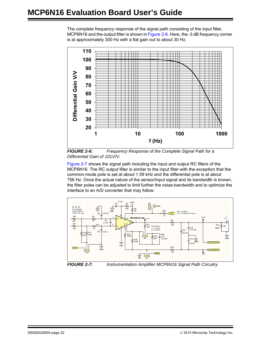The complete frequency response of the signal path consisting of the input filter, MCP6N16 and the output filter is shown in [Figure 2-6](#page-21-0). Here, the -3 dB frequency corner is at approximately 300 Hz with a flat gain out to about 30 Hz.



<span id="page-21-0"></span>*FIGURE 2-6: Frequency Response of the Complete Signal Path for a Differential Gain of 101V/V.*

[Figure 2-7](#page-21-1) shows the signal path including the input and output RC filters of the MCP6N16. The RC output filter is similar to the input filter with the exception that the common-mode pole is set at about 1.59 kHz and the differential pole is at about 756 Hz. Once the actual nature of the sensor/input signal and its bandwidth is known, the filter poles can be adjusted to limit further the noise-bandwidth and to optimize the interface to an A/D converter that may follow.



<span id="page-21-1"></span>*FIGURE 2-7: Instrumentation Amplifier MCP6N16 Signal Path Circuitry.*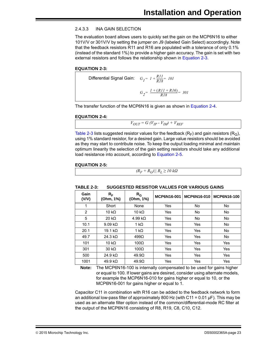#### 2.4.3.3 INA GAIN SELECTION

The evaluation board allows users to quickly set the gain on the MCP6N16 to either 101V/V or 301V/V by setting the jumper on J9 (labeled Gain Select) accordingly. Note that the feedback resistors R11 and R16 are populated with a tolerance of only 0.1% (instead of the standard 1%) to provide a higher gain accuracy. The gain is set with two external resistors and follows the relationship shown in [Equation 2-3](#page-22-1).

#### <span id="page-22-1"></span>**EQUATION 2-3:**

Differential Signal Gain: 
$$
G_I = I + \frac{RII}{RI8} = 10I
$$
  

$$
G_2 = \frac{I + (RII + RI6)}{RI8} = 30I
$$

The transfer function of the MCP6N16 is given as shown in [Equation 2-4](#page-19-2).

#### **EQUATION 2-4:**

$$
V_{OUT} = G (V_{IP} - V_{IM}) + V_{REF}
$$

[Table 2-3](#page-22-0) lists suggested resistor values for the feedback ( $R_F$ ) and gain resistors ( $R_G$ ), using 1% standard resistor, for a desired gain. Large value resistors should be avoided as they may start to contribute noise. To keep the output loading minimal and maintain optimum linearity the selection of the gain setting resistors should take any additional load resistance into account, according to [Equation 2-5](#page-19-1).

#### **EQUATION 2-5:**

$$
(R_F+R_G)|\mid R_L\geq 10\; k\Omega
$$

| Gain<br>(V/V)  | $R_F$<br>(Ohm, 1%) | $R_G$<br>(Ohm, 1%)                                               | MCP6N16-001 | <b>MCP6N16-010</b> | <b>MCP6N16-100</b> |
|----------------|--------------------|------------------------------------------------------------------|-------------|--------------------|--------------------|
|                | Short              | None                                                             | Yes         | No                 | No                 |
| $\overline{2}$ | 10 k $\Omega$      | 10 k $\Omega$                                                    | Yes         | No                 | No                 |
| 5              | $20 k\Omega$       | 4.99 k $\Omega$                                                  | Yes         | No.                | No                 |
| 10.1           | $9.09 k\Omega$     | 1 k $\Omega$                                                     | Yes         | Yes                | No                 |
| 20.1           | 19.1 $k\Omega$     | 1 k $\Omega$                                                     | Yes         | Yes                | No                 |
| 49.7           | 24.3 k $\Omega$    | $499\Omega$                                                      | Yes         | Yes                | No                 |
| 101            | 10 k $\Omega$      | $100\Omega$                                                      | Yes         | Yes                | Yes                |
| 301            | $30 k\Omega$       | $100\Omega$                                                      | Yes         | Yes                | Yes                |
| 500            | 24.9 k $\Omega$    | 49.9 <omega< td=""><td>Yes</td><td>Yes</td><td>Yes</td></omega<> | Yes         | Yes                | Yes                |
| 1001           | 49.9 k $\Omega$    | 49.9 <omega< td=""><td>Yes</td><td>Yes</td><td>Yes</td></omega<> | Yes         | Yes                | Yes                |

#### <span id="page-22-0"></span>**TABLE 2-3: SUGGESTED RESISTOR VALUES FOR VARIOUS GAINS**

**Note:** The MCP6N16-100 is internally compensated to be used for gains higher or equal to 100. If lower gains are desired, consider using alternate models, for example the MCP6N16-010 for gains higher or equal to 10, or the MCP6N16-001 for gains higher or equal to 1.

Capacitor C11 in combination with R16 can be added to the feedback network to form an additional low-pass filter of approximately 800 Hz (with C11 = 0.01  $\mu$ F). This may be used as an alternate filter option instead of the common/differential-mode RC filter at the output of the MCP6N16 consisting of R8, R19, C8, C10, C12.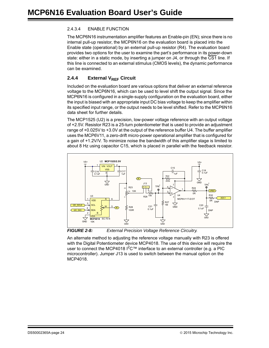#### 2.4.3.4 ENABLE FUNCTION

The MCP6N16 instrumentation amplifier features an Enable-pin (EN); since there is no internal pull-up resistor, the MCP6N16 on the evaluation board is placed into the Enable state (operational) by an external pull-up resistor (R4). The evaluation board provides two options for the user to examine the part's performance in its power-down state: either in a static mode, by inserting a jumper on J4, or through the CS1 line. If this line is connected to an external stimulus (CMOS levels), the dynamic performance can be examined.

# <span id="page-23-0"></span>**2.4.4 External V<sub>RFF</sub> Circuit**

Included on the evaluation board are various options that deliver an external reference voltage to the MCP6N16, which can be used to level shift the output signal. Since the MCP6N16 is configured in a single-supply configuration on the evaluation board, either the input is biased with an appropriate input DC bias voltage to keep the amplifier within its specified input range, or the output needs to be level shifted. Refer to the MCP6N16 data sheet for further details.

The MCP1525 (U2) is a precision, low-power voltage reference with an output voltage of +2.5V. Resistor R23 is a 25-turn potentiometer that is used to provide an adjustment range of +0.025V to +3.0V at the output of the reference buffer U4. The buffer amplifier uses the MCP6V11, a zero-drift micro-power operational amplifier that is configured for a gain of +1.2V/V. To minimize noise the bandwidth of this amplifier stage is limited to about 8 Hz using capacitor C15, which is placed in parallel with the feedback resistor.



*FIGURE 2-8: External Precision Voltage Reference Circuitry.*

An alternate method to adjusting the reference voltage manually with R23 is offered with the Digital Potentiometer device MCP4018. The use of this device will require the user to connect the MCP4018  $1^2C$ <sup>-M</sup> interface to an external controller (e.g. a PIC microcontroller). Jumper J13 is used to switch between the manual option on the MCP4018.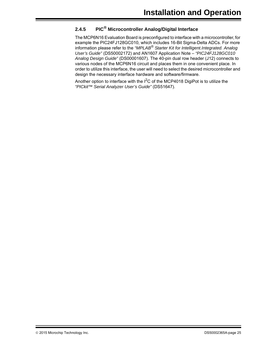# <span id="page-24-0"></span>**2.4.5 PIC® Microcontroller Analog/Digital Interface**

The MCP6N16 Evaluation Board is preconfigured to interface with a microcontroller, for example the PIC24FJ128GC010, which includes 16-Bit Sigma-Delta ADCs. For more information please refer to the *"MPLAB® Starter Kit for Intelligent.Integrated. Analog User's Guide"* (DS50002172) and AN1607 Application Note – *"PIC24FJ128GC010 Analog Design Guide"* (DS00001607). The 40-pin dual row header (J12) connects to various nodes of the MCP6N16 circuit and places them in one convenient place. In order to utilize this interface, the user will need to select the desired microcontroller and design the necessary interface hardware and software/firmware.

Another option to interface with the I<sup>2</sup>C of the MCP4018 DigiPot is to utilize the *"PICkit™ Serial Analyzer User's Guide"* (DS51647).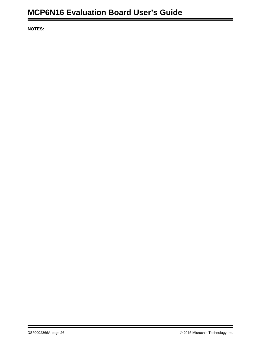**NOTES:**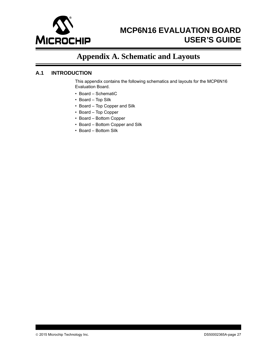

# <span id="page-26-2"></span>**MCP6N16 EVALUATION BOARD USER'S GUIDE**

# **Appendix A. Schematic and Layouts**

# <span id="page-26-1"></span><span id="page-26-0"></span>**A.1 INTRODUCTION**

This appendix contains the following schematics and layouts for the MCP6N16 Evaluation Board.

- • [Board SchematiC](#page-27-0)
- • [Board Top Silk](#page-28-0)
- • [Board Top Copper and Silk](#page-28-1)
- • [Board Top Copper](#page-29-0)
- • [Board Bottom Copper](#page-29-1)
- • [Board Bottom Copper and Silk](#page-30-0)
- • [Board Bottom Silk](#page-30-1)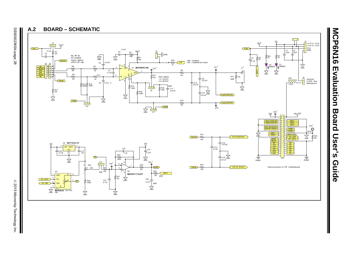# **A.2 BOARD – SCHEMATIC**

<span id="page-27-0"></span>

**MCP6N16 Evaluation Board User's Guide**

**MCP6N16 Evaluation Board Cser's Guide**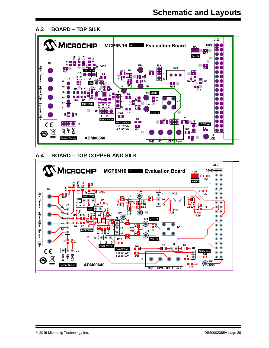<span id="page-28-0"></span>

# <span id="page-28-1"></span>**A.4 BOARD – TOP COPPER AND SILK**

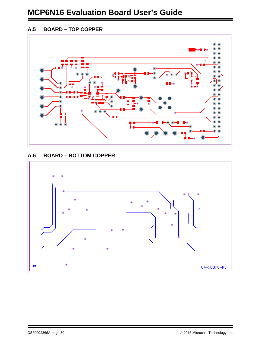# <span id="page-29-0"></span>**A.5 BOARD – TOP COPPER**



# <span id="page-29-1"></span>**A.6 BOARD – BOTTOM COPPER**

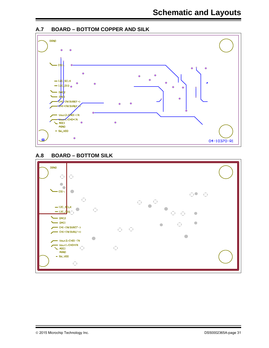<span id="page-30-0"></span>



# <span id="page-30-1"></span>**A.8 BOARD – BOTTOM SILK**

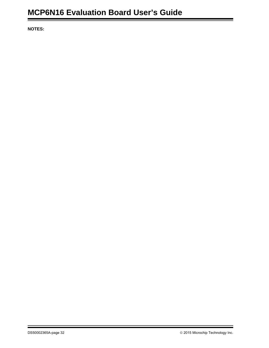**NOTES:**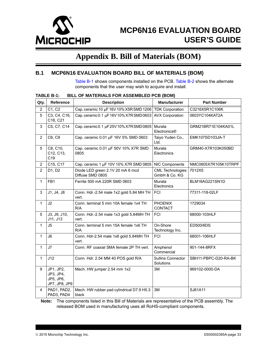

# <span id="page-32-1"></span>**MCP6N16 EVALUATION BOARD USER'S GUIDE**

# **Appendix B. Bill of Materials (BOM)**

# <span id="page-32-0"></span>**B.1 MCP6N16 EVALUATION BOARD BILL OF MATERIALS (BOM)**

[Table B-1](#page-32-2) shows components installed on the PCB. [Table B-2](#page-33-0) shows the alternate components that the user may wish to acquire and install.

| Qty.           | Reference                                                                    | <b>Description</b>                                        | <b>Manufacturer</b>                      | <b>Part Number</b>   |
|----------------|------------------------------------------------------------------------------|-----------------------------------------------------------|------------------------------------------|----------------------|
| $\overline{2}$ | C1, C2                                                                       | Cap. ceramic 10 µF 16V 10% X5R SMD 1206   TDK Corporation |                                          | C3216X5R1C106K       |
| 5              | C3, C4, C16,<br>C18, C21                                                     | Cap.ceramic0.1 µF16V10%X7RSMD0603                         | <b>AVX Corporation</b>                   | 0603YC104KAT2A       |
| 3              | C5, C7, C14                                                                  | Cap.ceramic0.1 µF25V10% X7RSMD0805                        | Murata<br>Electronics®                   | GRM21BR71E104KA01L   |
| $\overline{2}$ | C6, C9                                                                       | Cap. ceramic 0.01 µF 16V 5% SMD 0603                      | Taiyo Yuden Co.,<br>Ltd.                 | EMK107SD103JA-T      |
| 5              | C8, C10,<br>Cap. ceramic 0.01 µF 50V 10% X7R SMD<br>C12, C13,<br>0805<br>C19 |                                                           | Murata<br>Electronics                    | GRM40-X7R103K050BD   |
| $\overline{c}$ | C15, C17                                                                     | Cap. ceramic 1 µF 10V 10% X7R SMD 0805                    | NIC Components                           | NMC0805X7R105K10TRPF |
| $\overline{2}$ | D1, D2                                                                       | Diode LED green 2.1V 20 mA 6 mcd<br>Diffuse SMD 0805      | <b>CML Technologies</b><br>GmbH & Co. KG | 7012X5               |
| 1              | FB <sub>1</sub>                                                              | Ferrite 500 mA 220R SMD 0603                              | Murata<br>Electronics                    | BLM18AG221SN1D       |
| 3              | J1, J4, J8                                                                   | Conn. Hdr.-2.54 male 1x2 gold 5.84 MH TH<br>vert.         | <b>FCI</b>                               | 77311-118-02LF       |
| 1              | J2                                                                           | Conn. terminal 5 mm 10A female 1x4 TH<br>R/A              | <b>PHOENIX</b><br>CONTACT                | 1729034              |
| 5              | J3, J9, J10,<br>J11, J13                                                     | Conn. Hdr.-2.54 male 1x3 gold 5.84MH TH<br>vert.          | <b>FCI</b>                               | 68000-103HLF         |
| 1              | J5                                                                           | Conn. terminal 5 mm 15A female 1x6 TH<br>R/A              | On-Shore<br>Technology Inc.              | ED500/6DS            |
| 1              | J6                                                                           | Conn. Hdr-2.54 male 1x6 gold 5.84MH TH<br>vert.           | <b>FCI</b>                               | 68001-106HLF         |
| 1              | J7                                                                           | Conn. RF coaxial SMA female 2P TH vert.                   | Amphenol<br>Commercial                   | 901-144-8RFX         |
| 1              | J12                                                                          | Conn. Hdr. 2.54 MM 40 POS gold R/A                        | Sullins Connector<br>Solutions           | SBH11-PBPC-D20-RA-BK |
| 9              | JP1, JP2,<br>JP3, JP4,<br>JP5, JP6,<br>JP7, JP8, JP9                         | Mech. HW jumper 2.54 mm 1x2                               | 3M                                       | 969102-0000-DA       |
| 4              | PAD1, PAD2,<br>PAD3, PAD4                                                    | Mech. HW rubber pad cylindrical D7.9 H5.3<br>black        | 3M                                       | SJ61A11              |

#### <span id="page-32-2"></span>**TABLE B-1: BILL OF MATERIALS FOR ASSEMBLED PCB (BOM)**

**Note:** The components listed in this Bill of Materials are representative of the PCB assembly. The released BOM used in manufacturing uses all RoHS-compliant components.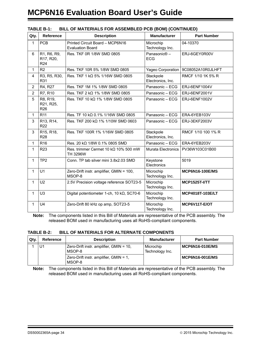| Qty.           | <b>Reference</b>                                  | <b>Description</b>                                         | <b>Manufacturer</b>            | <b>Part Number</b>                    |
|----------------|---------------------------------------------------|------------------------------------------------------------|--------------------------------|---------------------------------------|
| 1              | <b>PCB</b>                                        | Printed Circuit Board - MCP6N16<br><b>Evaluation Board</b> | Microchip<br>Technology Inc.   |                                       |
| 6              | R1, R6, R9,<br>R17, R20,<br>R <sub>24</sub>       | Res. TKF 0R 1/8W SMD 0805                                  | Panasonic®-<br><b>ECG</b>      | ERJ-6GEY0R00V                         |
| 1              | R2                                                | Res. TKF 10R 5% 1/8W SMD 0805                              |                                | Yageo Corporation   9C08052A10R0JLHFT |
| 4              | R3, R5, R30,<br>R31                               | Res. TKF 1 kΩ 5% 1/16W SMD 0805                            | Stackpole<br>Electronics, Inc. | RMCF 1/10 1K 5% R                     |
| $\overline{2}$ | R4, R27                                           | Res. TKF 1M 1% 1/8W SMD 0805                               | Panasonic - ECG                | ERJ-6ENF1004V                         |
| $\overline{2}$ | R7, R10                                           | Res. TKF 2 kΩ 1% 1/8W SMD 0805                             | Panasonic - ECG                | ERJ-6ENF2001V                         |
| 5              | R8, R19,<br>R21, R25,<br>R <sub>26</sub>          | Res. TKF 10 kΩ 1% 1/8W SMD 0805                            | Panasonic - ECG                | ERJ-6ENF1002V                         |
| $\mathbf{1}$   | R <sub>11</sub>                                   | Res. TF 10 kΩ 0.1% 1/16W SMD 0805                          | Panasonic - ECG                | ERA-6YEB103V                          |
| 3              | R13, R14,<br>R <sub>22</sub>                      | Res. TKF 200 kΩ 1% 1/10W SMD 0603                          | Panasonic - ECG                | ERJ-3EKF2003V                         |
| 3              | R <sub>15</sub> , R <sub>18</sub> ,<br><b>R28</b> | Res. TKF 100R 1% 1/16W SMD 0805                            | Stackpole<br>Electronics, Inc. | RMCF 1/10 100 1% R                    |
| $\mathbf{1}$   | R <sub>16</sub>                                   | Res. 20 kΩ 1/8W 0.1% 0805 SMD                              | Panasonic - ECG                | ERA-6YEB203V                          |
| 1              | R <sub>23</sub>                                   | Res. trimmer Cermet 10 k $\Omega$ 10% 500 mW<br>TH 3296W   | <b>Murata Electronics</b>      | PV36W103C01B00                        |
| $\mathbf{1}$   | TP <sub>2</sub>                                   | Conn. TP tab silver mini 3.8x2.03 SMD                      | Keystone<br>Electronics        | 5019                                  |
| 1              | U1                                                | Zero-Drift instr. amplifier, GMIN = 100,<br>MSOP-8         | Microchip<br>Technology Inc.   | <b>MCP6N16-100E/MS</b>                |
| 1              | U <sub>2</sub>                                    | 2.5V Precision voltage reference SOT23-5                   | Microchip<br>Technology Inc.   | <b>MCP1525T-I/TT</b>                  |
| 1              | U <sub>3</sub>                                    | Digital potentiometer 1-ch, 10 kΩ, SC70-6                  | Microchip<br>Technology Inc.   | <b>MCP4018T-103E/LT</b>               |
| 1              | U <sub>4</sub>                                    | Zero-Drift 80 kHz op amp, SOT23-5                          | Microchip<br>Technology Inc.   | MCP6V11T-E/OT                         |

| TABLE B-1: | BILL OF MATERIALS FOR ASSEMBLED PCB (BOM) (CONTINUED) |  |
|------------|-------------------------------------------------------|--|
|            |                                                       |  |

**Note:** The components listed in this Bill of Materials are representative of the PCB assembly. The released BOM used in manufacturing uses all RoHS-compliant components.

<span id="page-33-0"></span>

| Qty. | Reference      | <b>Description</b>                                | <b>Manufacturer</b>          | <b>Part Number</b>     |
|------|----------------|---------------------------------------------------|------------------------------|------------------------|
|      | U <sub>1</sub> | Zero-Drift instr. amplifier, GMIN = 10,<br>MSOP-8 | Microchip<br>Technology Inc. | <b>MCP6N16-010E/MS</b> |
|      |                | Zero-Drift instr. amplifier, GMIN = 1,<br>MSOP-8  |                              | <b>MCP6N16-001E/MS</b> |

**Note:** The components listed in this Bill of Materials are representative of the PCB assembly. The released BOM used in manufacturing uses all RoHS-compliant components.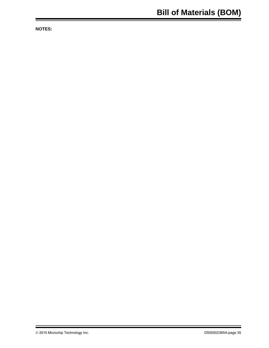**NOTES:**